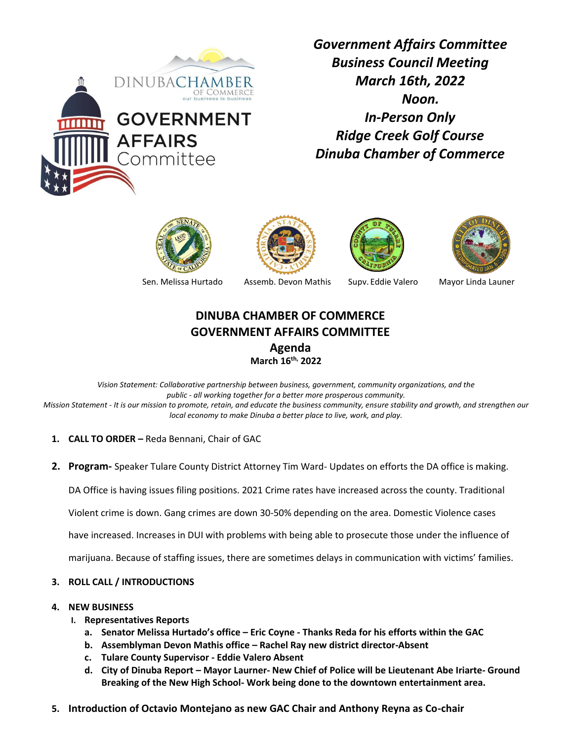

*Government Affairs Committee Business Council Meeting March 16th, 2022 Noon. In-Person Only Ridge Creek Golf Course Dinuba Chamber of Commerce* 











## **DINUBA CHAMBER OF COMMERCE GOVERNMENT AFFAIRS COMMITTEE**

**Agenda March 16th, 2022**

*Vision Statement: Collaborative partnership between business, government, community organizations, and the public - all working together for a better more prosperous community. Mission Statement - It is our mission to promote, retain, and educate the business community, ensure stability and growth, and strengthen our local economy to make Dinuba a better place to live, work, and play.*

- **1. CALL TO ORDER –** Reda Bennani, Chair of GAC
- **2. Program-** Speaker Tulare County District Attorney Tim Ward- Updates on efforts the DA office is making.

DA Office is having issues filing positions. 2021 Crime rates have increased across the county. Traditional

Violent crime is down. Gang crimes are down 30-50% depending on the area. Domestic Violence cases

have increased. Increases in DUI with problems with being able to prosecute those under the influence of

marijuana. Because of staffing issues, there are sometimes delays in communication with victims' families.

- **3. ROLL CALL / INTRODUCTIONS**
- **4. NEW BUSINESS**
	- **I. Representatives Reports**
		- **a. Senator Melissa Hurtado's office – Eric Coyne - Thanks Reda for his efforts within the GAC**
		- **b. Assemblyman Devon Mathis office – Rachel Ray new district director-Absent**
		- **c. Tulare County Supervisor - Eddie Valero Absent**
		- **d. City of Dinuba Report – Mayor Laurner- New Chief of Police will be Lieutenant Abe Iriarte- Ground Breaking of the New High School- Work being done to the downtown entertainment area.**
- **5. Introduction of Octavio Montejano as new GAC Chair and Anthony Reyna as Co-chair**